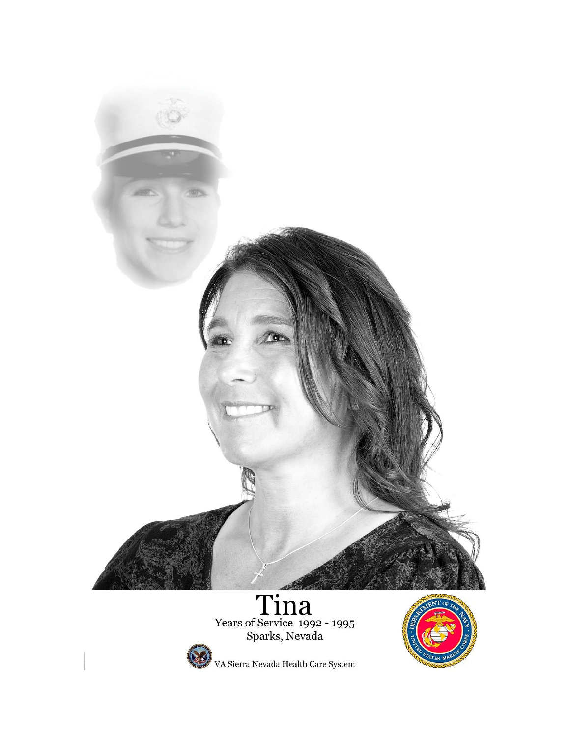

# Tina<br>Years of Service 1992 - 1995<br>Sparks, Nevada



VA Sierra Nevada Health Care System

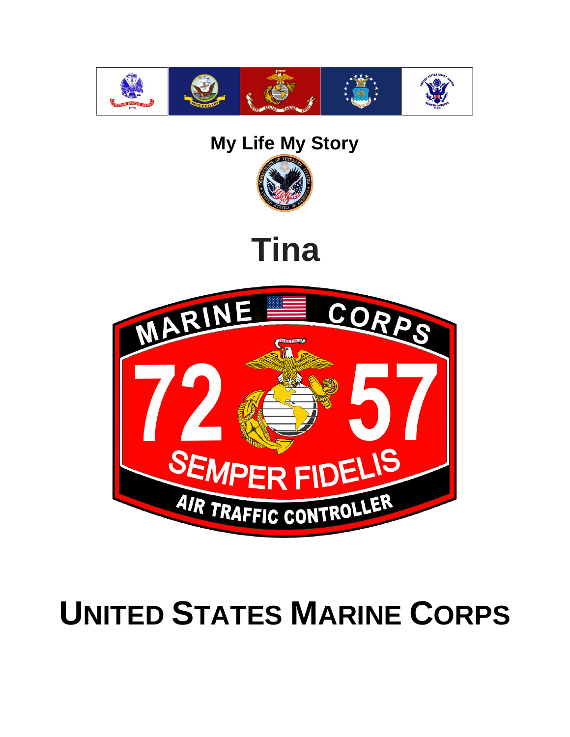

#### **My Life My Story**



### **Tina**



## **UNITED STATES MARINE CORPS**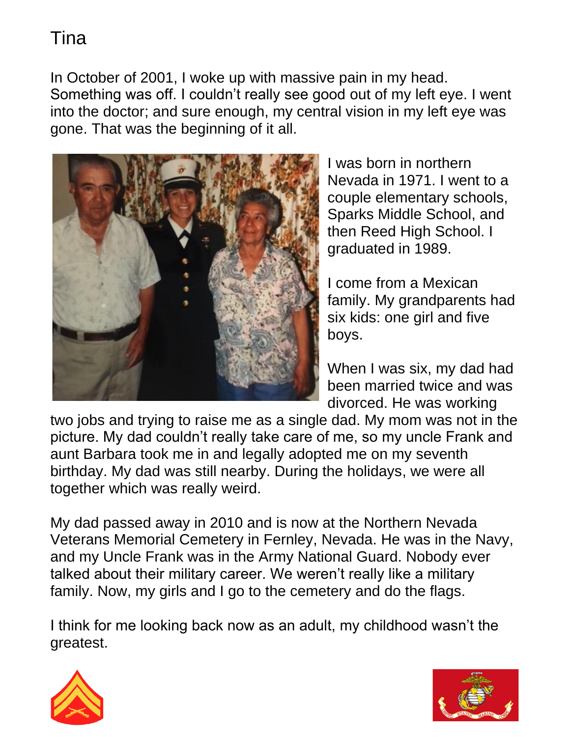In October of 2001, I woke up with massive pain in my head. Something was off. I couldn't really see good out of my left eye. I went into the doctor; and sure enough, my central vision in my left eye was gone. That was the beginning of it all.



I was born in northern Nevada in 1971. I went to a couple elementary schools, Sparks Middle School, and then Reed High School. I graduated in 1989.

I come from a Mexican family. My grandparents had six kids: one girl and five boys.

When I was six, my dad had been married twice and was divorced. He was working

two jobs and trying to raise me as a single dad. My mom was not in the picture. My dad couldn't really take care of me, so my uncle Frank and aunt Barbara took me in and legally adopted me on my seventh birthday. My dad was still nearby. During the holidays, we were all together which was really weird.

My dad passed away in 2010 and is now at the Northern Nevada Veterans Memorial Cemetery in Fernley, Nevada. He was in the Navy, and my Uncle Frank was in the Army National Guard. Nobody ever talked about their military career. We weren't really like a military family. Now, my girls and I go to the cemetery and do the flags.

I think for me looking back now as an adult, my childhood wasn't the greatest.



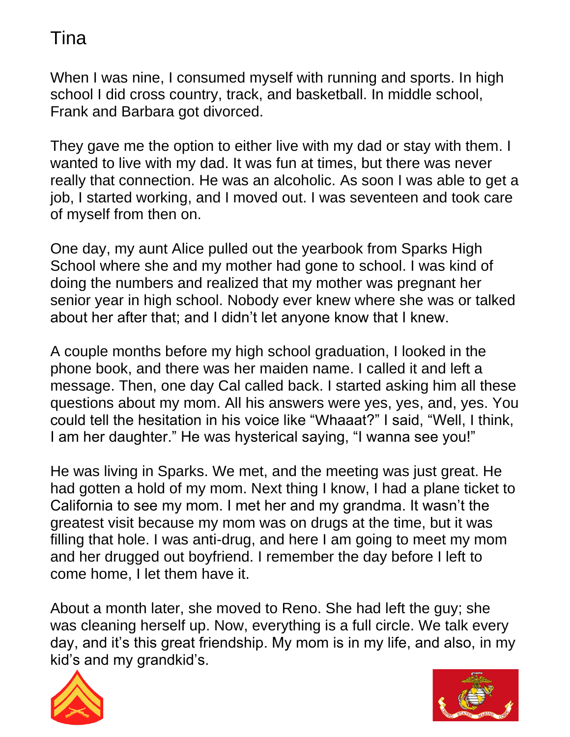When I was nine, I consumed myself with running and sports. In high school I did cross country, track, and basketball. In middle school, Frank and Barbara got divorced.

They gave me the option to either live with my dad or stay with them. I wanted to live with my dad. It was fun at times, but there was never really that connection. He was an alcoholic. As soon I was able to get a job, I started working, and I moved out. I was seventeen and took care of myself from then on.

One day, my aunt Alice pulled out the yearbook from Sparks High School where she and my mother had gone to school. I was kind of doing the numbers and realized that my mother was pregnant her senior year in high school. Nobody ever knew where she was or talked about her after that; and I didn't let anyone know that I knew.

A couple months before my high school graduation, I looked in the phone book, and there was her maiden name. I called it and left a message. Then, one day Cal called back. I started asking him all these questions about my mom. All his answers were yes, yes, and, yes. You could tell the hesitation in his voice like "Whaaat?" I said, "Well, I think, I am her daughter." He was hysterical saying, "I wanna see you!"

He was living in Sparks. We met, and the meeting was just great. He had gotten a hold of my mom. Next thing I know, I had a plane ticket to California to see my mom. I met her and my grandma. It wasn't the greatest visit because my mom was on drugs at the time, but it was filling that hole. I was anti-drug, and here I am going to meet my mom and her drugged out boyfriend. I remember the day before I left to come home, I let them have it.

About a month later, she moved to Reno. She had left the guy; she was cleaning herself up. Now, everything is a full circle. We talk every day, and it's this great friendship. My mom is in my life, and also, in my kid's and my grandkid's.



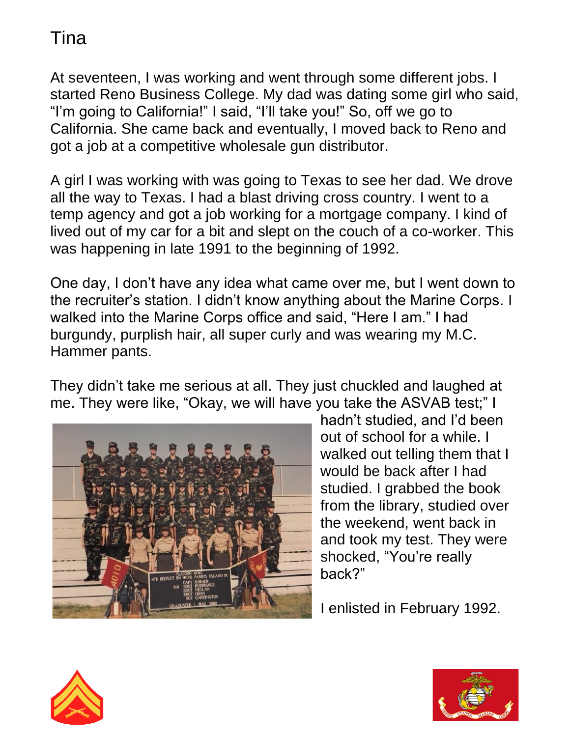At seventeen, I was working and went through some different jobs. I started Reno Business College. My dad was dating some girl who said, "I'm going to California!" I said, "I'll take you!" So, off we go to California. She came back and eventually, I moved back to Reno and got a job at a competitive wholesale gun distributor.

A girl I was working with was going to Texas to see her dad. We drove all the way to Texas. I had a blast driving cross country. I went to a temp agency and got a job working for a mortgage company. I kind of lived out of my car for a bit and slept on the couch of a co-worker. This was happening in late 1991 to the beginning of 1992.

One day, I don't have any idea what came over me, but I went down to the recruiter's station. I didn't know anything about the Marine Corps. I walked into the Marine Corps office and said, "Here I am." I had burgundy, purplish hair, all super curly and was wearing my M.C. Hammer pants.

They didn't take me serious at all. They just chuckled and laughed at me. They were like, "Okay, we will have you take the ASVAB test;" I



hadn't studied, and I'd been out of school for a while. I walked out telling them that I would be back after I had studied. I grabbed the book from the library, studied over the weekend, went back in and took my test. They were shocked, "You're really back?"

I enlisted in February 1992.



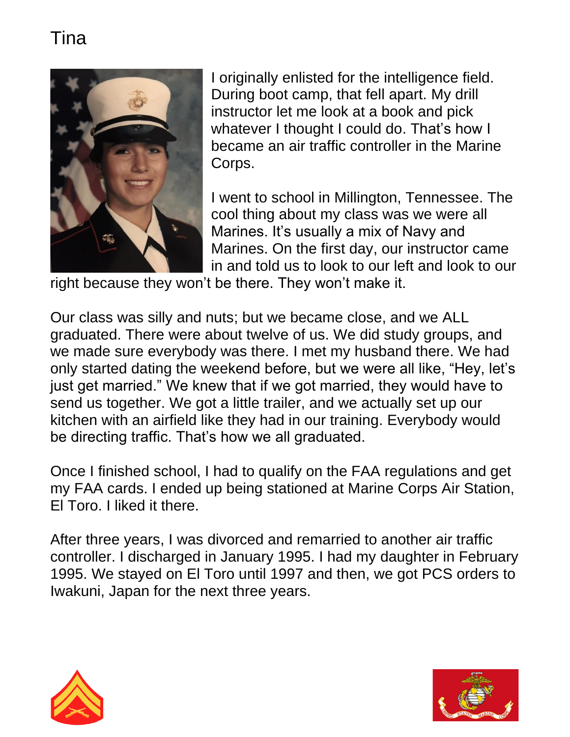

I originally enlisted for the intelligence field. During boot camp, that fell apart. My drill instructor let me look at a book and pick whatever I thought I could do. That's how I became an air traffic controller in the Marine Corps.

I went to school in Millington, Tennessee. The cool thing about my class was we were all Marines. It's usually a mix of Navy and Marines. On the first day, our instructor came in and told us to look to our left and look to our

right because they won't be there. They won't make it.

Our class was silly and nuts; but we became close, and we ALL graduated. There were about twelve of us. We did study groups, and we made sure everybody was there. I met my husband there. We had only started dating the weekend before, but we were all like, "Hey, let's just get married." We knew that if we got married, they would have to send us together. We got a little trailer, and we actually set up our kitchen with an airfield like they had in our training. Everybody would be directing traffic. That's how we all graduated.

Once I finished school, I had to qualify on the FAA regulations and get my FAA cards. I ended up being stationed at Marine Corps Air Station, El Toro. I liked it there.

After three years, I was divorced and remarried to another air traffic controller. I discharged in January 1995. I had my daughter in February 1995. We stayed on El Toro until 1997 and then, we got PCS orders to Iwakuni, Japan for the next three years.



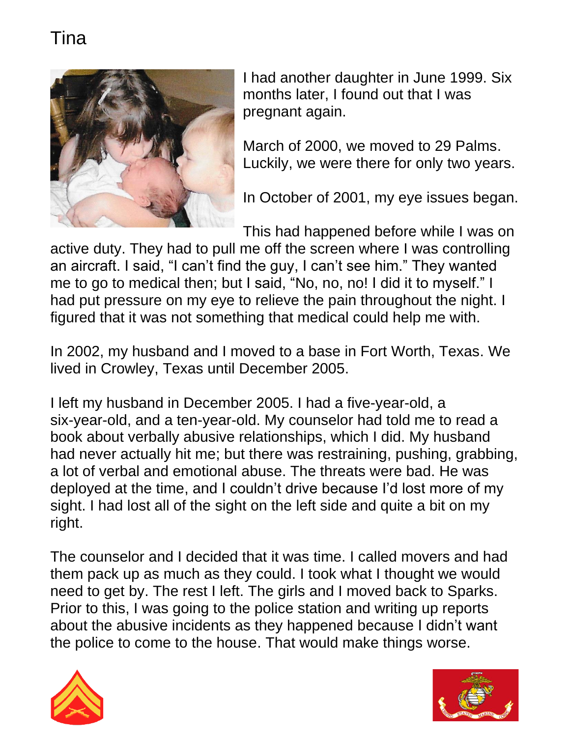

I had another daughter in June 1999. Six months later, I found out that I was pregnant again.

March of 2000, we moved to 29 Palms. Luckily, we were there for only two years.

In October of 2001, my eye issues began.

This had happened before while I was on active duty. They had to pull me off the screen where I was controlling an aircraft. I said, "I can't find the guy, I can't see him." They wanted me to go to medical then; but I said, "No, no, no! I did it to myself." I had put pressure on my eye to relieve the pain throughout the night. I figured that it was not something that medical could help me with.

In 2002, my husband and I moved to a base in Fort Worth, Texas. We lived in Crowley, Texas until December 2005.

I left my husband in December 2005. I had a five-year-old, a six-year-old, and a ten-year-old. My counselor had told me to read a book about verbally abusive relationships, which I did. My husband had never actually hit me; but there was restraining, pushing, grabbing, a lot of verbal and emotional abuse. The threats were bad. He was deployed at the time, and I couldn't drive because I'd lost more of my sight. I had lost all of the sight on the left side and quite a bit on my right.

The counselor and I decided that it was time. I called movers and had them pack up as much as they could. I took what I thought we would need to get by. The rest I left. The girls and I moved back to Sparks. Prior to this, I was going to the police station and writing up reports about the abusive incidents as they happened because I didn't want the police to come to the house. That would make things worse.



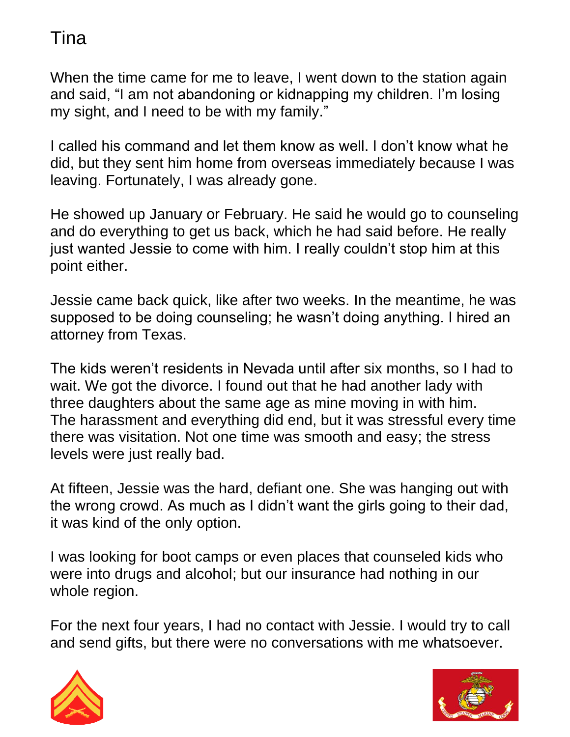When the time came for me to leave, I went down to the station again and said, "I am not abandoning or kidnapping my children. I'm losing my sight, and I need to be with my family."

I called his command and let them know as well. I don't know what he did, but they sent him home from overseas immediately because I was leaving. Fortunately, I was already gone.

He showed up January or February. He said he would go to counseling and do everything to get us back, which he had said before. He really just wanted Jessie to come with him. I really couldn't stop him at this point either.

Jessie came back quick, like after two weeks. In the meantime, he was supposed to be doing counseling; he wasn't doing anything. I hired an attorney from Texas.

The kids weren't residents in Nevada until after six months, so I had to wait. We got the divorce. I found out that he had another lady with three daughters about the same age as mine moving in with him. The harassment and everything did end, but it was stressful every time there was visitation. Not one time was smooth and easy; the stress levels were just really bad.

At fifteen, Jessie was the hard, defiant one. She was hanging out with the wrong crowd. As much as I didn't want the girls going to their dad, it was kind of the only option.

I was looking for boot camps or even places that counseled kids who were into drugs and alcohol; but our insurance had nothing in our whole region.

For the next four years, I had no contact with Jessie. I would try to call and send gifts, but there were no conversations with me whatsoever.



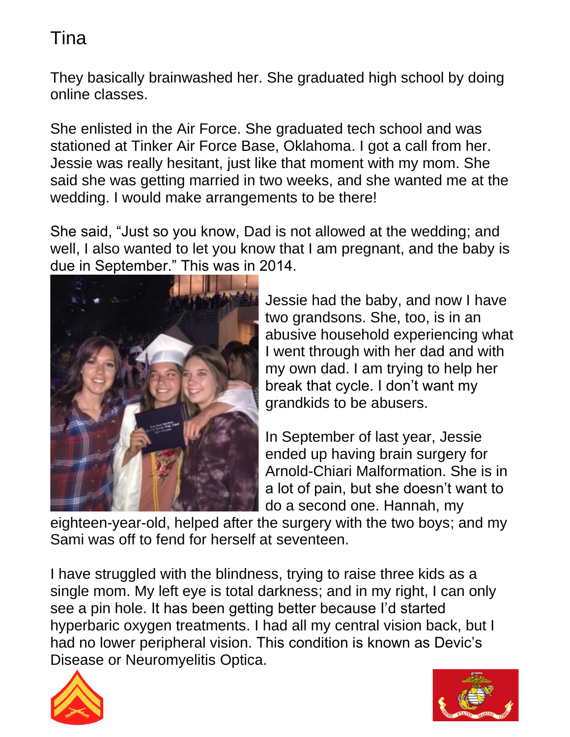They basically brainwashed her. She graduated high school by doing online classes.

She enlisted in the Air Force. She graduated tech school and was stationed at Tinker Air Force Base, Oklahoma. I got a call from her. Jessie was really hesitant, just like that moment with my mom. She said she was getting married in two weeks, and she wanted me at the wedding. I would make arrangements to be there!

She said, "Just so you know, Dad is not allowed at the wedding; and well, I also wanted to let you know that I am pregnant, and the baby is due in September." This was in 2014.



Jessie had the baby, and now I have two grandsons. She, too, is in an abusive household experiencing what I went through with her dad and with my own dad. I am trying to help her break that cycle. I don't want my grandkids to be abusers.

In September of last year, Jessie ended up having brain surgery for Arnold-Chiari Malformation. She is in a lot of pain, but she doesn't want to do a second one. Hannah, my

eighteen-year-old, helped after the surgery with the two boys; and my Sami was off to fend for herself at seventeen.

I have struggled with the blindness, trying to raise three kids as a single mom. My left eye is total darkness; and in my right, I can only see a pin hole. It has been getting better because I'd started hyperbaric oxygen treatments. I had all my central vision back, but I had no lower peripheral vision. This condition is known as Devic's Disease or Neuromyelitis Optica.



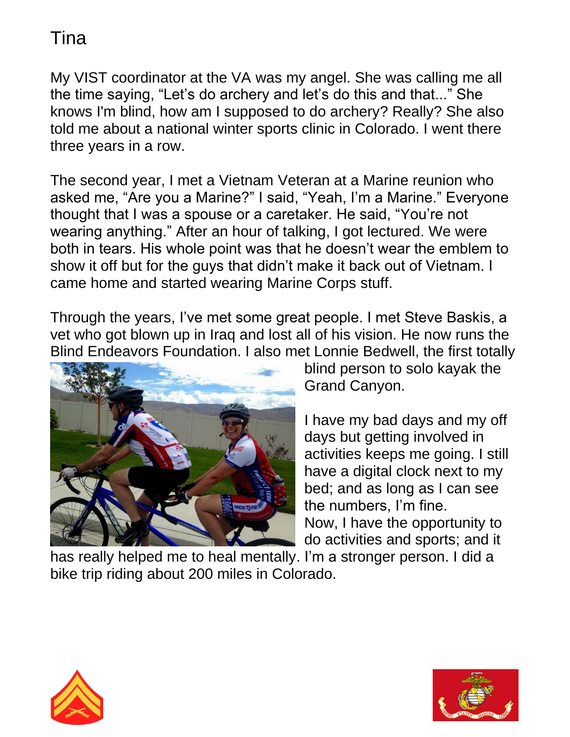My VIST coordinator at the VA was my angel. She was calling me all the time saying, "Let's do archery and let's do this and that..." She knows I'm blind, how am I supposed to do archery? Really? She also told me about a national winter sports clinic in Colorado. I went there three years in a row.

The second year, I met a Vietnam Veteran at a Marine reunion who asked me, "Are you a Marine?" I said, "Yeah, I'm a Marine." Everyone thought that I was a spouse or a caretaker. He said, "You're not wearing anything." After an hour of talking, I got lectured. We were both in tears. His whole point was that he doesn't wear the emblem to show it off but for the guys that didn't make it back out of Vietnam. I came home and started wearing Marine Corps stuff.

Through the years, I've met some great people. I met Steve Baskis, a vet who got blown up in Iraq and lost all of his vision. He now runs the Blind Endeavors Foundation. I also met Lonnie Bedwell, the first totally



blind person to solo kayak the Grand Canyon.

I have my bad days and my off days but getting involved in activities keeps me going. I still have a digital clock next to my bed; and as long as I can see the numbers, I'm fine. Now, I have the opportunity to do activities and sports; and it

has really helped me to heal mentally. I'm a stronger person. I did a bike trip riding about 200 miles in Colorado.